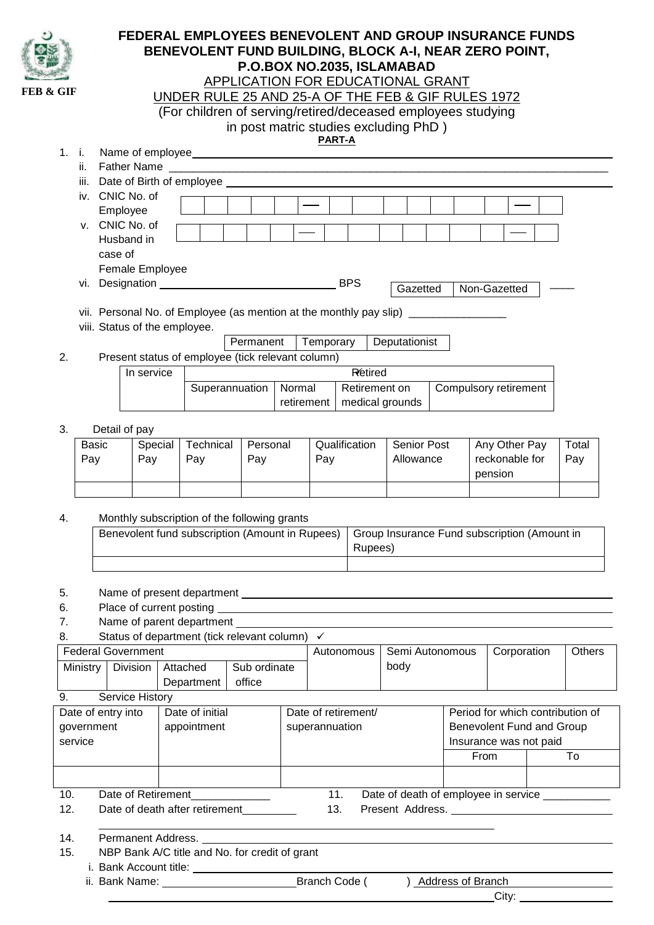| APPLICATION FOR EDUCATIONAL GRANT<br><b>FEB &amp; GIF</b><br>UNDER RULE 25 AND 25-A OF THE FEB & GIF RULES 1972<br>(For children of serving/retired/deceased employees studying<br>in post matric studies excluding PhD)<br><b>PART-A</b><br>1. i.<br>ii.<br>iii. Date of Birth of employee Learn and the control of the control of the control of the control of the control of the control of the control of the control of the control of the control of the control of the control of t<br>iv. CNIC No. of<br>Employee<br>v. CNIC No. of<br>Husband in<br>case of<br>Female Employee<br>Gazetted<br>Non-Gazetted<br>vii. Personal No. of Employee (as mention at the monthly pay slip) _____________<br>viii. Status of the employee.<br>Permanent   Temporary<br>Deputationist<br>Present status of employee (tick relevant column)<br>2.<br><b>Retired</b><br>In service<br>Superannuation<br>Normal<br>Retirement on<br>Compulsory retirement<br>medical grounds<br>retirement<br>3.<br>Detail of pay<br>Qualification<br><b>Senior Post</b><br>Any Other Pay<br><b>Basic</b><br>Special<br>Technical<br>Personal<br>Total<br>reckonable for<br>Pay<br>Pay<br>Allowance<br>Pay<br>Pay<br>Pay<br>Pay<br>pension<br>Monthly subscription of the following grants<br>4.<br>Benevolent fund subscription (Amount in Rupees)<br>Group Insurance Fund subscription (Amount in<br>Rupees)<br>5.<br>6.<br>7.<br>Status of department (tick relevant column) ✓<br>8.<br><b>Federal Government</b><br>Semi Autonomous<br>Corporation<br>Others<br>Autonomous<br>body<br>Sub ordinate<br>Ministry   Division<br>Attached<br>office<br>Department<br>Service History<br>9.<br>Date of initial<br>Date of entry into<br>Period for which contribution of<br>Date of retirement/<br>Benevolent Fund and Group<br>appointment<br>superannuation<br>government<br>service<br>Insurance was not paid<br>From<br>To<br>Date of Retirement<br>11.<br>10.<br>Date of death of employee in service __________<br>12.<br>Date of death after retirement<br>13.<br>Present Address. Note that the state of the state of the state of the state of the state of the state of the state of the state of the state of the state of the state of the state of the state of the state of the state of<br>14.<br>Permanent Address.<br>15.<br>NBP Bank A/C title and No. for credit of grant<br>) Address of Branch |  |  |  | <b>FEDERAL EMPLOYEES BENEVOLENT AND GROUP INSURANCE FUNDS</b><br>BENEVOLENT FUND BUILDING, BLOCK A-I, NEAR ZERO POINT, |  |  |  |  | P.O.BOX NO.2035, ISLAMABAD |  |  |  |  |
|-----------------------------------------------------------------------------------------------------------------------------------------------------------------------------------------------------------------------------------------------------------------------------------------------------------------------------------------------------------------------------------------------------------------------------------------------------------------------------------------------------------------------------------------------------------------------------------------------------------------------------------------------------------------------------------------------------------------------------------------------------------------------------------------------------------------------------------------------------------------------------------------------------------------------------------------------------------------------------------------------------------------------------------------------------------------------------------------------------------------------------------------------------------------------------------------------------------------------------------------------------------------------------------------------------------------------------------------------------------------------------------------------------------------------------------------------------------------------------------------------------------------------------------------------------------------------------------------------------------------------------------------------------------------------------------------------------------------------------------------------------------------------------------------------------------------------------------------------------------------------------------------------------------------------------------------------------------------------------------------------------------------------------------------------------------------------------------------------------------------------------------------------------------------------------------------------------------------------------------------------------------------------------------------------------------------------------------------------------------------------------------------------|--|--|--|------------------------------------------------------------------------------------------------------------------------|--|--|--|--|----------------------------|--|--|--|--|
|                                                                                                                                                                                                                                                                                                                                                                                                                                                                                                                                                                                                                                                                                                                                                                                                                                                                                                                                                                                                                                                                                                                                                                                                                                                                                                                                                                                                                                                                                                                                                                                                                                                                                                                                                                                                                                                                                                                                                                                                                                                                                                                                                                                                                                                                                                                                                                                               |  |  |  |                                                                                                                        |  |  |  |  |                            |  |  |  |  |
|                                                                                                                                                                                                                                                                                                                                                                                                                                                                                                                                                                                                                                                                                                                                                                                                                                                                                                                                                                                                                                                                                                                                                                                                                                                                                                                                                                                                                                                                                                                                                                                                                                                                                                                                                                                                                                                                                                                                                                                                                                                                                                                                                                                                                                                                                                                                                                                               |  |  |  |                                                                                                                        |  |  |  |  |                            |  |  |  |  |
|                                                                                                                                                                                                                                                                                                                                                                                                                                                                                                                                                                                                                                                                                                                                                                                                                                                                                                                                                                                                                                                                                                                                                                                                                                                                                                                                                                                                                                                                                                                                                                                                                                                                                                                                                                                                                                                                                                                                                                                                                                                                                                                                                                                                                                                                                                                                                                                               |  |  |  |                                                                                                                        |  |  |  |  |                            |  |  |  |  |
|                                                                                                                                                                                                                                                                                                                                                                                                                                                                                                                                                                                                                                                                                                                                                                                                                                                                                                                                                                                                                                                                                                                                                                                                                                                                                                                                                                                                                                                                                                                                                                                                                                                                                                                                                                                                                                                                                                                                                                                                                                                                                                                                                                                                                                                                                                                                                                                               |  |  |  |                                                                                                                        |  |  |  |  |                            |  |  |  |  |
|                                                                                                                                                                                                                                                                                                                                                                                                                                                                                                                                                                                                                                                                                                                                                                                                                                                                                                                                                                                                                                                                                                                                                                                                                                                                                                                                                                                                                                                                                                                                                                                                                                                                                                                                                                                                                                                                                                                                                                                                                                                                                                                                                                                                                                                                                                                                                                                               |  |  |  |                                                                                                                        |  |  |  |  |                            |  |  |  |  |
|                                                                                                                                                                                                                                                                                                                                                                                                                                                                                                                                                                                                                                                                                                                                                                                                                                                                                                                                                                                                                                                                                                                                                                                                                                                                                                                                                                                                                                                                                                                                                                                                                                                                                                                                                                                                                                                                                                                                                                                                                                                                                                                                                                                                                                                                                                                                                                                               |  |  |  |                                                                                                                        |  |  |  |  |                            |  |  |  |  |
|                                                                                                                                                                                                                                                                                                                                                                                                                                                                                                                                                                                                                                                                                                                                                                                                                                                                                                                                                                                                                                                                                                                                                                                                                                                                                                                                                                                                                                                                                                                                                                                                                                                                                                                                                                                                                                                                                                                                                                                                                                                                                                                                                                                                                                                                                                                                                                                               |  |  |  |                                                                                                                        |  |  |  |  |                            |  |  |  |  |
|                                                                                                                                                                                                                                                                                                                                                                                                                                                                                                                                                                                                                                                                                                                                                                                                                                                                                                                                                                                                                                                                                                                                                                                                                                                                                                                                                                                                                                                                                                                                                                                                                                                                                                                                                                                                                                                                                                                                                                                                                                                                                                                                                                                                                                                                                                                                                                                               |  |  |  |                                                                                                                        |  |  |  |  |                            |  |  |  |  |
|                                                                                                                                                                                                                                                                                                                                                                                                                                                                                                                                                                                                                                                                                                                                                                                                                                                                                                                                                                                                                                                                                                                                                                                                                                                                                                                                                                                                                                                                                                                                                                                                                                                                                                                                                                                                                                                                                                                                                                                                                                                                                                                                                                                                                                                                                                                                                                                               |  |  |  |                                                                                                                        |  |  |  |  |                            |  |  |  |  |
|                                                                                                                                                                                                                                                                                                                                                                                                                                                                                                                                                                                                                                                                                                                                                                                                                                                                                                                                                                                                                                                                                                                                                                                                                                                                                                                                                                                                                                                                                                                                                                                                                                                                                                                                                                                                                                                                                                                                                                                                                                                                                                                                                                                                                                                                                                                                                                                               |  |  |  |                                                                                                                        |  |  |  |  |                            |  |  |  |  |
|                                                                                                                                                                                                                                                                                                                                                                                                                                                                                                                                                                                                                                                                                                                                                                                                                                                                                                                                                                                                                                                                                                                                                                                                                                                                                                                                                                                                                                                                                                                                                                                                                                                                                                                                                                                                                                                                                                                                                                                                                                                                                                                                                                                                                                                                                                                                                                                               |  |  |  |                                                                                                                        |  |  |  |  |                            |  |  |  |  |
|                                                                                                                                                                                                                                                                                                                                                                                                                                                                                                                                                                                                                                                                                                                                                                                                                                                                                                                                                                                                                                                                                                                                                                                                                                                                                                                                                                                                                                                                                                                                                                                                                                                                                                                                                                                                                                                                                                                                                                                                                                                                                                                                                                                                                                                                                                                                                                                               |  |  |  |                                                                                                                        |  |  |  |  |                            |  |  |  |  |
|                                                                                                                                                                                                                                                                                                                                                                                                                                                                                                                                                                                                                                                                                                                                                                                                                                                                                                                                                                                                                                                                                                                                                                                                                                                                                                                                                                                                                                                                                                                                                                                                                                                                                                                                                                                                                                                                                                                                                                                                                                                                                                                                                                                                                                                                                                                                                                                               |  |  |  |                                                                                                                        |  |  |  |  |                            |  |  |  |  |
|                                                                                                                                                                                                                                                                                                                                                                                                                                                                                                                                                                                                                                                                                                                                                                                                                                                                                                                                                                                                                                                                                                                                                                                                                                                                                                                                                                                                                                                                                                                                                                                                                                                                                                                                                                                                                                                                                                                                                                                                                                                                                                                                                                                                                                                                                                                                                                                               |  |  |  |                                                                                                                        |  |  |  |  |                            |  |  |  |  |
|                                                                                                                                                                                                                                                                                                                                                                                                                                                                                                                                                                                                                                                                                                                                                                                                                                                                                                                                                                                                                                                                                                                                                                                                                                                                                                                                                                                                                                                                                                                                                                                                                                                                                                                                                                                                                                                                                                                                                                                                                                                                                                                                                                                                                                                                                                                                                                                               |  |  |  |                                                                                                                        |  |  |  |  |                            |  |  |  |  |
|                                                                                                                                                                                                                                                                                                                                                                                                                                                                                                                                                                                                                                                                                                                                                                                                                                                                                                                                                                                                                                                                                                                                                                                                                                                                                                                                                                                                                                                                                                                                                                                                                                                                                                                                                                                                                                                                                                                                                                                                                                                                                                                                                                                                                                                                                                                                                                                               |  |  |  |                                                                                                                        |  |  |  |  |                            |  |  |  |  |
|                                                                                                                                                                                                                                                                                                                                                                                                                                                                                                                                                                                                                                                                                                                                                                                                                                                                                                                                                                                                                                                                                                                                                                                                                                                                                                                                                                                                                                                                                                                                                                                                                                                                                                                                                                                                                                                                                                                                                                                                                                                                                                                                                                                                                                                                                                                                                                                               |  |  |  |                                                                                                                        |  |  |  |  |                            |  |  |  |  |
|                                                                                                                                                                                                                                                                                                                                                                                                                                                                                                                                                                                                                                                                                                                                                                                                                                                                                                                                                                                                                                                                                                                                                                                                                                                                                                                                                                                                                                                                                                                                                                                                                                                                                                                                                                                                                                                                                                                                                                                                                                                                                                                                                                                                                                                                                                                                                                                               |  |  |  |                                                                                                                        |  |  |  |  |                            |  |  |  |  |
|                                                                                                                                                                                                                                                                                                                                                                                                                                                                                                                                                                                                                                                                                                                                                                                                                                                                                                                                                                                                                                                                                                                                                                                                                                                                                                                                                                                                                                                                                                                                                                                                                                                                                                                                                                                                                                                                                                                                                                                                                                                                                                                                                                                                                                                                                                                                                                                               |  |  |  |                                                                                                                        |  |  |  |  |                            |  |  |  |  |
|                                                                                                                                                                                                                                                                                                                                                                                                                                                                                                                                                                                                                                                                                                                                                                                                                                                                                                                                                                                                                                                                                                                                                                                                                                                                                                                                                                                                                                                                                                                                                                                                                                                                                                                                                                                                                                                                                                                                                                                                                                                                                                                                                                                                                                                                                                                                                                                               |  |  |  |                                                                                                                        |  |  |  |  |                            |  |  |  |  |
|                                                                                                                                                                                                                                                                                                                                                                                                                                                                                                                                                                                                                                                                                                                                                                                                                                                                                                                                                                                                                                                                                                                                                                                                                                                                                                                                                                                                                                                                                                                                                                                                                                                                                                                                                                                                                                                                                                                                                                                                                                                                                                                                                                                                                                                                                                                                                                                               |  |  |  |                                                                                                                        |  |  |  |  |                            |  |  |  |  |
|                                                                                                                                                                                                                                                                                                                                                                                                                                                                                                                                                                                                                                                                                                                                                                                                                                                                                                                                                                                                                                                                                                                                                                                                                                                                                                                                                                                                                                                                                                                                                                                                                                                                                                                                                                                                                                                                                                                                                                                                                                                                                                                                                                                                                                                                                                                                                                                               |  |  |  |                                                                                                                        |  |  |  |  |                            |  |  |  |  |
|                                                                                                                                                                                                                                                                                                                                                                                                                                                                                                                                                                                                                                                                                                                                                                                                                                                                                                                                                                                                                                                                                                                                                                                                                                                                                                                                                                                                                                                                                                                                                                                                                                                                                                                                                                                                                                                                                                                                                                                                                                                                                                                                                                                                                                                                                                                                                                                               |  |  |  |                                                                                                                        |  |  |  |  |                            |  |  |  |  |
|                                                                                                                                                                                                                                                                                                                                                                                                                                                                                                                                                                                                                                                                                                                                                                                                                                                                                                                                                                                                                                                                                                                                                                                                                                                                                                                                                                                                                                                                                                                                                                                                                                                                                                                                                                                                                                                                                                                                                                                                                                                                                                                                                                                                                                                                                                                                                                                               |  |  |  |                                                                                                                        |  |  |  |  |                            |  |  |  |  |
|                                                                                                                                                                                                                                                                                                                                                                                                                                                                                                                                                                                                                                                                                                                                                                                                                                                                                                                                                                                                                                                                                                                                                                                                                                                                                                                                                                                                                                                                                                                                                                                                                                                                                                                                                                                                                                                                                                                                                                                                                                                                                                                                                                                                                                                                                                                                                                                               |  |  |  |                                                                                                                        |  |  |  |  |                            |  |  |  |  |
|                                                                                                                                                                                                                                                                                                                                                                                                                                                                                                                                                                                                                                                                                                                                                                                                                                                                                                                                                                                                                                                                                                                                                                                                                                                                                                                                                                                                                                                                                                                                                                                                                                                                                                                                                                                                                                                                                                                                                                                                                                                                                                                                                                                                                                                                                                                                                                                               |  |  |  |                                                                                                                        |  |  |  |  |                            |  |  |  |  |
|                                                                                                                                                                                                                                                                                                                                                                                                                                                                                                                                                                                                                                                                                                                                                                                                                                                                                                                                                                                                                                                                                                                                                                                                                                                                                                                                                                                                                                                                                                                                                                                                                                                                                                                                                                                                                                                                                                                                                                                                                                                                                                                                                                                                                                                                                                                                                                                               |  |  |  |                                                                                                                        |  |  |  |  |                            |  |  |  |  |
|                                                                                                                                                                                                                                                                                                                                                                                                                                                                                                                                                                                                                                                                                                                                                                                                                                                                                                                                                                                                                                                                                                                                                                                                                                                                                                                                                                                                                                                                                                                                                                                                                                                                                                                                                                                                                                                                                                                                                                                                                                                                                                                                                                                                                                                                                                                                                                                               |  |  |  |                                                                                                                        |  |  |  |  |                            |  |  |  |  |
|                                                                                                                                                                                                                                                                                                                                                                                                                                                                                                                                                                                                                                                                                                                                                                                                                                                                                                                                                                                                                                                                                                                                                                                                                                                                                                                                                                                                                                                                                                                                                                                                                                                                                                                                                                                                                                                                                                                                                                                                                                                                                                                                                                                                                                                                                                                                                                                               |  |  |  |                                                                                                                        |  |  |  |  |                            |  |  |  |  |
|                                                                                                                                                                                                                                                                                                                                                                                                                                                                                                                                                                                                                                                                                                                                                                                                                                                                                                                                                                                                                                                                                                                                                                                                                                                                                                                                                                                                                                                                                                                                                                                                                                                                                                                                                                                                                                                                                                                                                                                                                                                                                                                                                                                                                                                                                                                                                                                               |  |  |  |                                                                                                                        |  |  |  |  |                            |  |  |  |  |
|                                                                                                                                                                                                                                                                                                                                                                                                                                                                                                                                                                                                                                                                                                                                                                                                                                                                                                                                                                                                                                                                                                                                                                                                                                                                                                                                                                                                                                                                                                                                                                                                                                                                                                                                                                                                                                                                                                                                                                                                                                                                                                                                                                                                                                                                                                                                                                                               |  |  |  |                                                                                                                        |  |  |  |  |                            |  |  |  |  |
|                                                                                                                                                                                                                                                                                                                                                                                                                                                                                                                                                                                                                                                                                                                                                                                                                                                                                                                                                                                                                                                                                                                                                                                                                                                                                                                                                                                                                                                                                                                                                                                                                                                                                                                                                                                                                                                                                                                                                                                                                                                                                                                                                                                                                                                                                                                                                                                               |  |  |  |                                                                                                                        |  |  |  |  |                            |  |  |  |  |
|                                                                                                                                                                                                                                                                                                                                                                                                                                                                                                                                                                                                                                                                                                                                                                                                                                                                                                                                                                                                                                                                                                                                                                                                                                                                                                                                                                                                                                                                                                                                                                                                                                                                                                                                                                                                                                                                                                                                                                                                                                                                                                                                                                                                                                                                                                                                                                                               |  |  |  |                                                                                                                        |  |  |  |  |                            |  |  |  |  |
|                                                                                                                                                                                                                                                                                                                                                                                                                                                                                                                                                                                                                                                                                                                                                                                                                                                                                                                                                                                                                                                                                                                                                                                                                                                                                                                                                                                                                                                                                                                                                                                                                                                                                                                                                                                                                                                                                                                                                                                                                                                                                                                                                                                                                                                                                                                                                                                               |  |  |  |                                                                                                                        |  |  |  |  |                            |  |  |  |  |
|                                                                                                                                                                                                                                                                                                                                                                                                                                                                                                                                                                                                                                                                                                                                                                                                                                                                                                                                                                                                                                                                                                                                                                                                                                                                                                                                                                                                                                                                                                                                                                                                                                                                                                                                                                                                                                                                                                                                                                                                                                                                                                                                                                                                                                                                                                                                                                                               |  |  |  |                                                                                                                        |  |  |  |  |                            |  |  |  |  |
|                                                                                                                                                                                                                                                                                                                                                                                                                                                                                                                                                                                                                                                                                                                                                                                                                                                                                                                                                                                                                                                                                                                                                                                                                                                                                                                                                                                                                                                                                                                                                                                                                                                                                                                                                                                                                                                                                                                                                                                                                                                                                                                                                                                                                                                                                                                                                                                               |  |  |  |                                                                                                                        |  |  |  |  |                            |  |  |  |  |
|                                                                                                                                                                                                                                                                                                                                                                                                                                                                                                                                                                                                                                                                                                                                                                                                                                                                                                                                                                                                                                                                                                                                                                                                                                                                                                                                                                                                                                                                                                                                                                                                                                                                                                                                                                                                                                                                                                                                                                                                                                                                                                                                                                                                                                                                                                                                                                                               |  |  |  |                                                                                                                        |  |  |  |  |                            |  |  |  |  |
|                                                                                                                                                                                                                                                                                                                                                                                                                                                                                                                                                                                                                                                                                                                                                                                                                                                                                                                                                                                                                                                                                                                                                                                                                                                                                                                                                                                                                                                                                                                                                                                                                                                                                                                                                                                                                                                                                                                                                                                                                                                                                                                                                                                                                                                                                                                                                                                               |  |  |  |                                                                                                                        |  |  |  |  |                            |  |  |  |  |
|                                                                                                                                                                                                                                                                                                                                                                                                                                                                                                                                                                                                                                                                                                                                                                                                                                                                                                                                                                                                                                                                                                                                                                                                                                                                                                                                                                                                                                                                                                                                                                                                                                                                                                                                                                                                                                                                                                                                                                                                                                                                                                                                                                                                                                                                                                                                                                                               |  |  |  |                                                                                                                        |  |  |  |  |                            |  |  |  |  |
|                                                                                                                                                                                                                                                                                                                                                                                                                                                                                                                                                                                                                                                                                                                                                                                                                                                                                                                                                                                                                                                                                                                                                                                                                                                                                                                                                                                                                                                                                                                                                                                                                                                                                                                                                                                                                                                                                                                                                                                                                                                                                                                                                                                                                                                                                                                                                                                               |  |  |  |                                                                                                                        |  |  |  |  |                            |  |  |  |  |
|                                                                                                                                                                                                                                                                                                                                                                                                                                                                                                                                                                                                                                                                                                                                                                                                                                                                                                                                                                                                                                                                                                                                                                                                                                                                                                                                                                                                                                                                                                                                                                                                                                                                                                                                                                                                                                                                                                                                                                                                                                                                                                                                                                                                                                                                                                                                                                                               |  |  |  |                                                                                                                        |  |  |  |  |                            |  |  |  |  |
|                                                                                                                                                                                                                                                                                                                                                                                                                                                                                                                                                                                                                                                                                                                                                                                                                                                                                                                                                                                                                                                                                                                                                                                                                                                                                                                                                                                                                                                                                                                                                                                                                                                                                                                                                                                                                                                                                                                                                                                                                                                                                                                                                                                                                                                                                                                                                                                               |  |  |  |                                                                                                                        |  |  |  |  |                            |  |  |  |  |
|                                                                                                                                                                                                                                                                                                                                                                                                                                                                                                                                                                                                                                                                                                                                                                                                                                                                                                                                                                                                                                                                                                                                                                                                                                                                                                                                                                                                                                                                                                                                                                                                                                                                                                                                                                                                                                                                                                                                                                                                                                                                                                                                                                                                                                                                                                                                                                                               |  |  |  |                                                                                                                        |  |  |  |  |                            |  |  |  |  |
|                                                                                                                                                                                                                                                                                                                                                                                                                                                                                                                                                                                                                                                                                                                                                                                                                                                                                                                                                                                                                                                                                                                                                                                                                                                                                                                                                                                                                                                                                                                                                                                                                                                                                                                                                                                                                                                                                                                                                                                                                                                                                                                                                                                                                                                                                                                                                                                               |  |  |  |                                                                                                                        |  |  |  |  |                            |  |  |  |  |
|                                                                                                                                                                                                                                                                                                                                                                                                                                                                                                                                                                                                                                                                                                                                                                                                                                                                                                                                                                                                                                                                                                                                                                                                                                                                                                                                                                                                                                                                                                                                                                                                                                                                                                                                                                                                                                                                                                                                                                                                                                                                                                                                                                                                                                                                                                                                                                                               |  |  |  |                                                                                                                        |  |  |  |  |                            |  |  |  |  |
|                                                                                                                                                                                                                                                                                                                                                                                                                                                                                                                                                                                                                                                                                                                                                                                                                                                                                                                                                                                                                                                                                                                                                                                                                                                                                                                                                                                                                                                                                                                                                                                                                                                                                                                                                                                                                                                                                                                                                                                                                                                                                                                                                                                                                                                                                                                                                                                               |  |  |  |                                                                                                                        |  |  |  |  |                            |  |  |  |  |
|                                                                                                                                                                                                                                                                                                                                                                                                                                                                                                                                                                                                                                                                                                                                                                                                                                                                                                                                                                                                                                                                                                                                                                                                                                                                                                                                                                                                                                                                                                                                                                                                                                                                                                                                                                                                                                                                                                                                                                                                                                                                                                                                                                                                                                                                                                                                                                                               |  |  |  |                                                                                                                        |  |  |  |  |                            |  |  |  |  |
|                                                                                                                                                                                                                                                                                                                                                                                                                                                                                                                                                                                                                                                                                                                                                                                                                                                                                                                                                                                                                                                                                                                                                                                                                                                                                                                                                                                                                                                                                                                                                                                                                                                                                                                                                                                                                                                                                                                                                                                                                                                                                                                                                                                                                                                                                                                                                                                               |  |  |  |                                                                                                                        |  |  |  |  |                            |  |  |  |  |
|                                                                                                                                                                                                                                                                                                                                                                                                                                                                                                                                                                                                                                                                                                                                                                                                                                                                                                                                                                                                                                                                                                                                                                                                                                                                                                                                                                                                                                                                                                                                                                                                                                                                                                                                                                                                                                                                                                                                                                                                                                                                                                                                                                                                                                                                                                                                                                                               |  |  |  |                                                                                                                        |  |  |  |  |                            |  |  |  |  |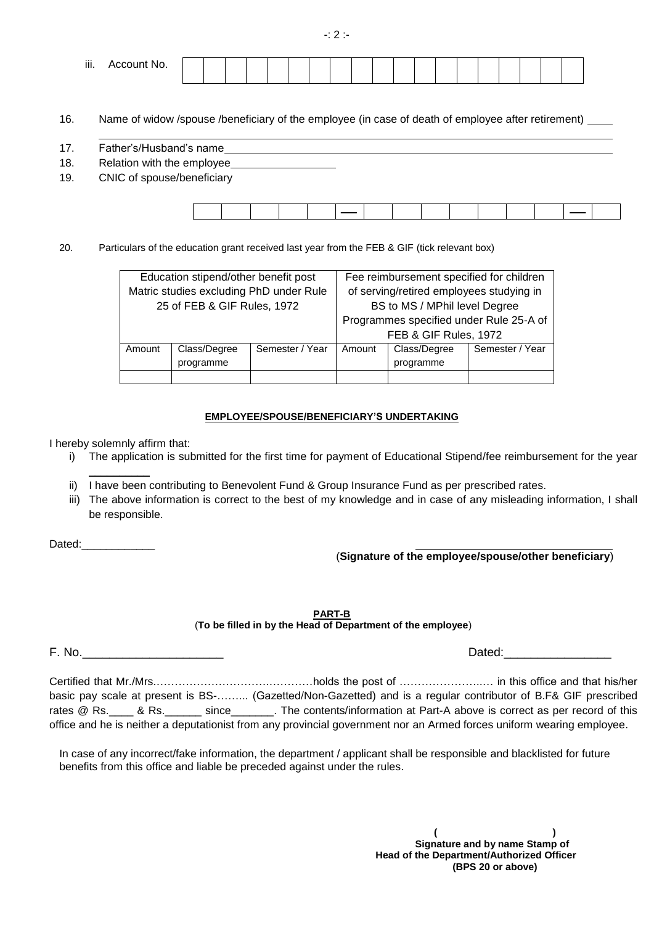-: 2 :-

| iii.<br>Account No.<br>. |  |  |  |  |  |  |  |  |  |  |
|--------------------------|--|--|--|--|--|--|--|--|--|--|
|                          |  |  |  |  |  |  |  |  |  |  |

16. Name of widow /spouse /beneficiary of the employee (in case of death of employee after retirement)

- 17. Father's/Husband's name
- 18. Relation with the employee
- 19. CNIC of spouse/beneficiary

|--|

20. Particulars of the education grant received last year from the FEB & GIF (tick relevant box)

|        | Education stipend/other benefit post    |                 | Fee reimbursement specified for children |                                          |                 |  |  |
|--------|-----------------------------------------|-----------------|------------------------------------------|------------------------------------------|-----------------|--|--|
|        | Matric studies excluding PhD under Rule |                 |                                          | of serving/retired employees studying in |                 |  |  |
|        | 25 of FEB & GIF Rules, 1972             |                 |                                          | BS to MS / MPhil level Degree            |                 |  |  |
|        |                                         |                 | Programmes specified under Rule 25-A of  |                                          |                 |  |  |
|        |                                         |                 | FEB & GIF Rules, 1972                    |                                          |                 |  |  |
| Amount | Class/Degree                            | Semester / Year | Amount                                   | Class/Degree                             | Semester / Year |  |  |
|        | programme                               |                 |                                          | programme                                |                 |  |  |
|        |                                         |                 |                                          |                                          |                 |  |  |

## **EMPLOYEE/SPOUSE/BENEFICIARY'S UNDERTAKING**

I hereby solemnly affirm that:

- i) The application is submitted for the first time for payment of Educational Stipend/fee reimbursement for the year  $\frac{1}{2}$
- ii) I have been contributing to Benevolent Fund & Group Insurance Fund as per prescribed rates.
- iii) The above information is correct to the best of my knowledge and in case of any misleading information, I shall be responsible.

Dated:

(**Signature of the employee/spouse/other beneficiary**)

| <b>PART-B</b>                                               |
|-------------------------------------------------------------|
| (To be filled in by the Head of Department of the employee) |

F. No. 2008 **Dated:** The contract of the contract of the contract of the contract of the contract of the contract of the contract of the contract of the contract of the contract of the contract of the contract of the contr

Certified that Mr./Mrs.………………………….…………holds the post of …………………..… in this office and that his/her basic pay scale at present is BS-……... (Gazetted/Non-Gazetted) and is a regular contributor of B.F& GIF prescribed rates @ Rs.\_\_\_\_ & Rs.\_\_\_\_\_\_\_ since\_\_\_\_\_\_\_. The contents/information at Part-A above is correct as per record of this office and he is neither a deputationist from any provincial government nor an Armed forces uniform wearing employee.

In case of any incorrect/fake information, the department / applicant shall be responsible and blacklisted for future benefits from this office and liable be preceded against under the rules.

> **( ) Signature and by name Stamp of Head of the Department/Authorized Officer (BPS 20 or above)**